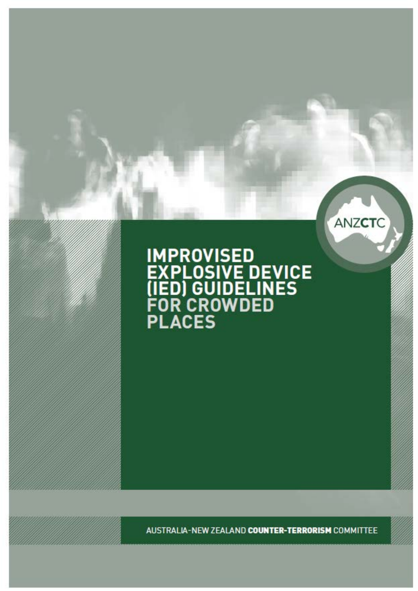# **IMPROVISED<br>EXPLOSIVE DEVICE<br>(IED) GUIDELINES<br>FOR CROWDED<br>PLACES**

ANZCTC

AUSTRALIA-NEW ZEALAND COUNTER-TERRORISM COMMITTEE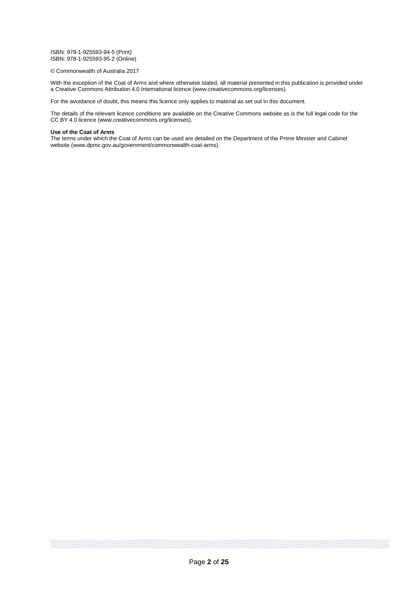ISBN: 978-1-925593-94-5 (Print) ISBN: 978-1-925593-95-2 (Online)

#### © Commonwealth of Australia 2017

With the exception of the Coat of Arms and where otherwise stated, all material presented in this publication is provided under a Creative Commons Attribution 4.0 International licence (www.creativecommons.org/licenses).

For the avoidance of doubt, this means this licence only applies to material as set out in this document.

The details of the relevant licence conditions are available on the Creative Commons website as is the full legal code for the CC BY 4.0 licence (www.creativecommons.org/licenses).

#### **Use of the Coat of Arms**

The terms under which the Coat of Arms can be used are detailed on the Department of the Prime Minister and Cabinet website (www.dpmc.gov.au/government/commonwealth-coat-arms).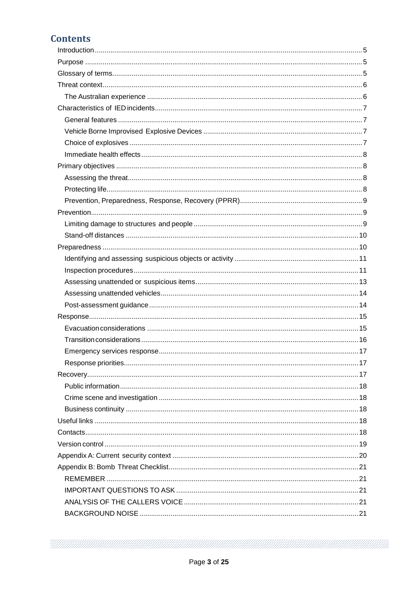# **Contents**

MAANAMANA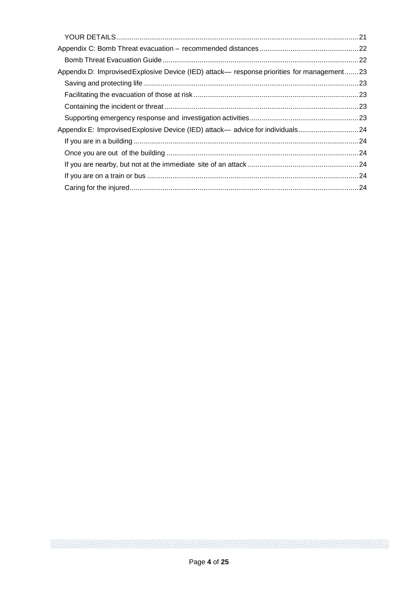| Appendix D: Improvised Explosive Device (IED) attack— response priorities for management23 |  |
|--------------------------------------------------------------------------------------------|--|
|                                                                                            |  |
|                                                                                            |  |
|                                                                                            |  |
|                                                                                            |  |
| Appendix E: Improvised Explosive Device (IED) attack— advice for individuals24             |  |
|                                                                                            |  |
|                                                                                            |  |
|                                                                                            |  |
|                                                                                            |  |
|                                                                                            |  |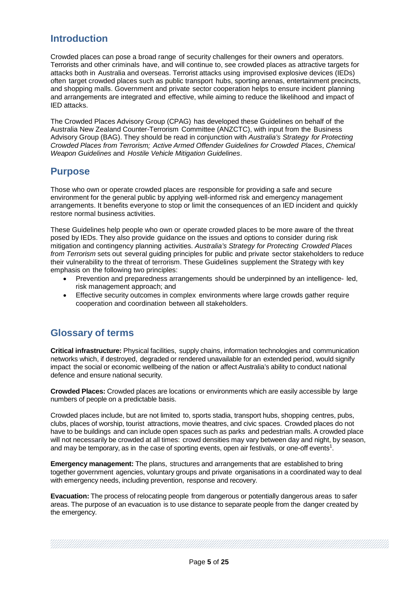# <span id="page-4-0"></span>**Introduction**

Crowded places can pose a broad range of security challenges for their owners and operators. Terrorists and other criminals have, and will continue to, see crowded places as attractive targets for attacks both in Australia and overseas. Terrorist attacks using improvised explosive devices (IEDs) often target crowded places such as public transport hubs, sporting arenas, entertainment precincts, and shopping malls. Government and private sector cooperation helps to ensure incident planning and arrangements are integrated and effective, while aiming to reduce the likelihood and impact of IED attacks.

The Crowded Places Advisory Group (CPAG) has developed these Guidelines on behalf of the Australia New Zealand Counter-Terrorism Committee (ANZCTC), with input from the Business Advisory Group (BAG). They should be read in conjunction with *Australia's Strategy for Protecting Crowded Places from Terrorism; Active Armed Offender Guidelines for Crowded Places*, *Chemical Weapon Guidelines* and *Hostile Vehicle Mitigation Guidelines*.

# <span id="page-4-1"></span>**Purpose**

Those who own or operate crowded places are responsible for providing a safe and secure environment for the general public by applying well-informed risk and emergency management arrangements. It benefits everyone to stop or limit the consequences of an IED incident and quickly restore normal business activities.

These Guidelines help people who own or operate crowded places to be more aware of the threat posed by IEDs. They also provide guidance on the issues and options to consider during risk mitigation and contingency planning activities. *Australia's Strategy for Protecting Crowded Places from Terrorism* sets out several guiding principles for public and private sector stakeholders to reduce their vulnerability to the threat of terrorism. These Guidelines supplement the Strategy with key emphasis on the following two principles:

- Prevention and preparedness arrangements should be underpinned by an intelligence- led, risk management approach; and
- Effective security outcomes in complex environments where large crowds gather require cooperation and coordination between all stakeholders.

# <span id="page-4-2"></span>**Glossary of terms**

**Critical infrastructure:** Physical facilities, supply chains, information technologies and communication networks which, if destroyed, degraded or rendered unavailable for an extended period, would signify impact the social or economic wellbeing of the nation or affect Australia's ability to conduct national defence and ensure national security.

**Crowded Places:** Crowded places are locations or environments which are easily accessible by large numbers of people on a predictable basis.

Crowded places include, but are not limited to, sports stadia, transport hubs, shopping centres, pubs, clubs, places of worship, tourist attractions, movie theatres, and civic spaces. Crowded places do not have to be buildings and can include open spaces such as parks and pedestrian malls. A crowded place will not necessarily be crowded at all times: crowd densities may vary between day and night, by season, and may be temporary, as in the case of sporting events, open air festivals, or one-off events<sup>1</sup>.

**Emergency management:** The plans, structures and arrangements that are established to bring together government agencies, voluntary groups and private organisations in a coordinated way to deal with emergency needs, including prevention, response and recovery.

**Evacuation:** The process of relocating people from dangerous or potentially dangerous areas to safer areas. The purpose of an evacuation is to use distance to separate people from the danger created by the emergency.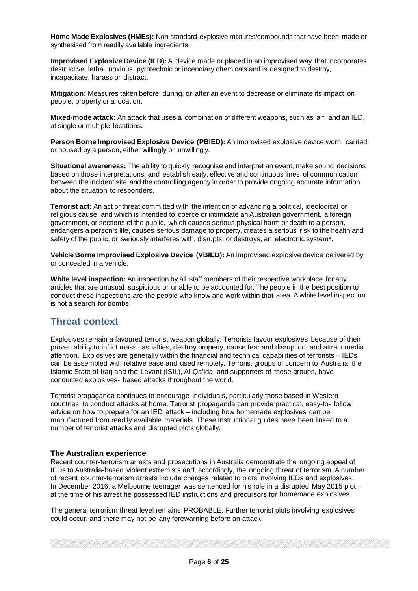**Home Made Explosives (HMEs):** Non-standard explosive mixtures/compounds that have been made or synthesised from readily available ingredients.

**Improvised Explosive Device (IED):** A device made or placed in an improvised way that incorporates destructive, lethal, noxious, pyrotechnic or incendiary chemicals and is designed to destroy, incapacitate, harass or distract.

**Mitigation:** Measures taken before, during, or after an event to decrease or eliminate its impact on people, property or a location.

**Mixed-mode attack:** An attack that uses a combination of different weapons, such as a fi and an IED, at single or multiple locations.

**Person Borne Improvised Explosive Device (PBIED):** An improvised explosive device worn, carried or housed by a person, either willingly or unwillingly.

**Situational awareness:** The ability to quickly recognise and interpret an event, make sound decisions based on those interpretations, and establish early, effective and continuous lines of communication between the incident site and the controlling agency in order to provide ongoing accurate information about the situation to responders.

**Terrorist act:** An act or threat committed with the intention of advancing a political, ideological or religious cause, and which is intended to coerce or intimidate an Australian government, a foreign government, or sections of the public, which causes serious physical harm or death to a person, endangers a person's life, causes serious damage to property, creates a serious risk to the health and safety of the public, or seriously interferes with, disrupts, or destroys, an electronic system<sup>2</sup>.

**Vehicle Borne Improvised Explosive Device (VBIED):** An improvised explosive device delivered by or concealed in a vehicle.

**White level inspection:** An inspection by all staff members of their respective workplace for any articles that are unusual, suspicious or unable to be accounted for. The people in the best position to conduct these inspections are the people who know and work within that area. A white level inspection is not a search for bombs.

# <span id="page-5-0"></span>**Threat context**

Explosives remain a favoured terrorist weapon globally. Terrorists favour explosives because of their proven ability to inflict mass casualties, destroy property, cause fear and disruption, and attract media attention. Explosives are generally within the financial and technical capabilities of terrorists – IEDs can be assembled with relative ease and used remotely. Terrorist groups of concern to Australia, the Islamic State of Iraq and the Levant (ISIL), Al-Qa'ida, and supporters of these groups, have conducted explosives- based attacks throughout the world.

Terrorist propaganda continues to encourage individuals, particularly those based in Western countries, to conduct attacks at home. Terrorist propaganda can provide practical, easy-to- follow advice on how to prepare for an IED attack – including how homemade explosives can be manufactured from readily available materials. These instructional guides have been linked to a number of terrorist attacks and disrupted plots globally.

## <span id="page-5-1"></span>**The Australian experience**

Recent counter-terrorism arrests and prosecutions in Australia demonstrate the ongoing appeal of IEDs to Australia-based violent extremists and, accordingly, the ongoing threat of terrorism. A number of recent counter-terrorism arrests include charges related to plots involving IEDs and explosives. In December 2016, a Melbourne teenager was sentenced for his role in a disrupted May 2015 plot – at the time of his arrest he possessed IED instructions and precursors for homemade explosives.

The general terrorism threat level remains PROBABLE. Further terrorist plots involving explosives could occur, and there may not be any forewarning before an attack.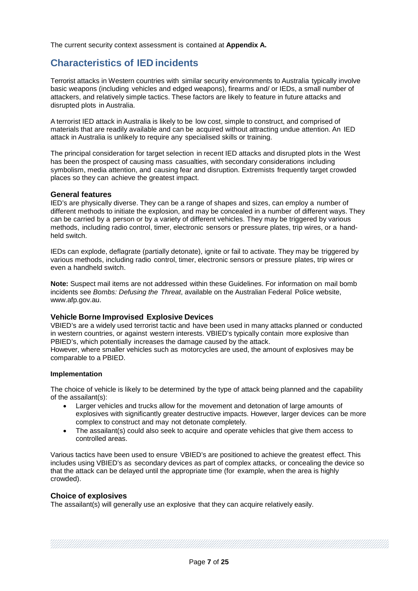The current security context assessment is contained at **Appendix A.**

# <span id="page-6-0"></span>**Characteristics of IED incidents**

Terrorist attacks in Western countries with similar security environments to Australia typically involve basic weapons (including vehicles and edged weapons), firearms and/ or IEDs, a small number of attackers, and relatively simple tactics. These factors are likely to feature in future attacks and disrupted plots in Australia.

A terrorist IED attack in Australia is likely to be low cost, simple to construct, and comprised of materials that are readily available and can be acquired without attracting undue attention. An IED attack in Australia is unlikely to require any specialised skills or training.

The principal consideration for target selection in recent IED attacks and disrupted plots in the West has been the prospect of causing mass casualties, with secondary considerations including symbolism, media attention, and causing fear and disruption. Extremists frequently target crowded places so they can achieve the greatest impact.

#### <span id="page-6-1"></span>**General features**

IED's are physically diverse. They can be a range of shapes and sizes, can employ a number of different methods to initiate the explosion, and may be concealed in a number of different ways. They can be carried by a person or by a variety of different vehicles. They may be triggered by various methods, including radio control, timer, electronic sensors or pressure plates, trip wires, or a handheld switch.

IEDs can explode, deflagrate (partially detonate), ignite or fail to activate. They may be triggered by various methods, including radio control, timer, electronic sensors or pressure plates, trip wires or even a handheld switch.

**Note:** Suspect mail items are not addressed within these Guidelines. For information on mail bomb incidents see *Bombs: Defusing the Threat*, available on the Australian Federal Police website, [www.afp.gov.au.](http://www.afp.gov.au/)

## <span id="page-6-2"></span>**Vehicle Borne Improvised Explosive Devices**

VBIED's are a widely used terrorist tactic and have been used in many attacks planned or conducted in western countries, or against western interests. VBIED's typically contain more explosive than PBIED's, which potentially increases the damage caused by the attack.

However, where smaller vehicles such as motorcycles are used, the amount of explosives may be comparable to a PBIED.

#### **Implementation**

The choice of vehicle is likely to be determined by the type of attack being planned and the capability of the assailant(s):

- Larger vehicles and trucks allow for the movement and detonation of large amounts of explosives with significantly greater destructive impacts. However, larger devices can be more complex to construct and may not detonate completely.
- The assailant(s) could also seek to acquire and operate vehicles that give them access to controlled areas.

Various tactics have been used to ensure VBIED's are positioned to achieve the greatest effect. This includes using VBIED's as secondary devices as part of complex attacks, or concealing the device so that the attack can be delayed until the appropriate time (for example, when the area is highly crowded).

## <span id="page-6-3"></span>**Choice of explosives**

The assailant(s) will generally use an explosive that they can acquire relatively easily.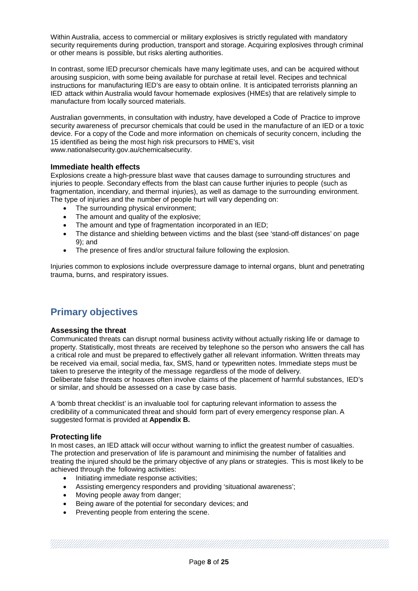Within Australia, access to commercial or military explosives is strictly regulated with mandatory security requirements during production, transport and storage. Acquiring explosives through criminal or other means is possible, but risks alerting authorities.

In contrast, some IED precursor chemicals have many legitimate uses, and can be acquired without arousing suspicion, with some being available for purchase at retail level. Recipes and technical instructions for manufacturing IED's are easy to obtain online. It is anticipated terrorists planning an IED attack within Australia would favour homemade explosives (HMEs) that are relatively simple to manufacture from locally sourced materials.

Australian governments, in consultation with industry, have developed a Code of Practice to improve security awareness of precursor chemicals that could be used in the manufacture of an IED or a toxic device. For a copy of the Code and more information on chemicals of security concern, including the 15 identified as being the most high risk precursors to HME's, visit www.nationalsecurit[y.gov.au/chemicalsecurity.](http://www.nationalsecurity.gov.au/chemicalsecurity)

## <span id="page-7-0"></span>**Immediate health effects**

Explosions create a high-pressure blast wave that causes damage to surrounding structures and injuries to people. Secondary effects from the blast can cause further injuries to people (such as fragmentation, incendiary, and thermal injuries), as well as damage to the surrounding environment. The type of injuries and the number of people hurt will vary depending on:

- The surrounding physical environment;
- The amount and quality of the explosive;
- The amount and type of fragmentation incorporated in an IED;
- The distance and shielding between victims and the blast (see 'stand-off distances' on page 9); and
- The presence of fires and/or structural failure following the explosion.

Injuries common to explosions include overpressure damage to internal organs, blunt and penetrating trauma, burns, and respiratory issues.

# <span id="page-7-1"></span>**Primary objectives**

#### <span id="page-7-2"></span>**Assessing the threat**

Communicated threats can disrupt normal business activity without actually risking life or damage to property. Statistically, most threats are received by telephone so the person who answers the call has a critical role and must be prepared to effectively gather all relevant information. Written threats may be received via email, social media, fax, SMS, hand or typewritten notes. Immediate steps must be taken to preserve the integrity of the message regardless of the mode of delivery.

Deliberate false threats or hoaxes often involve claims of the placement of harmful substances, IED's or similar, and should be assessed on a case by case basis.

A 'bomb threat checklist' is an invaluable tool for capturing relevant information to assess the credibility of a communicated threat and should form part of every emergency response plan. A suggested format is provided at **Appendix B.**

## <span id="page-7-3"></span>**Protecting life**

In most cases, an IED attack will occur without warning to inflict the greatest number of casualties. The protection and preservation of life is paramount and minimising the number of fatalities and treating the injured should be the primary objective of any plans or strategies. This is most likely to be achieved through the following activities:

- Initiating immediate response activities;
- Assisting emergency responders and providing 'situational awareness';
- Moving people away from danger;
- Being aware of the potential for secondary devices; and
- Preventing people from entering the scene.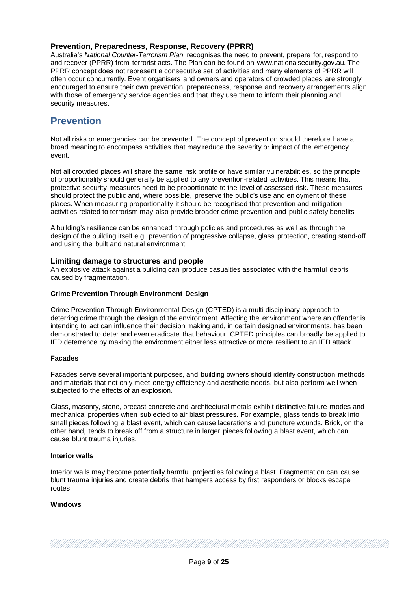# <span id="page-8-0"></span>**Prevention, Preparedness, Response, Recovery (PPRR)**

Australia's *National Counter-Terrorism Plan* recognises the need to prevent, prepare for, respond to and recover (PPRR) from terrorist acts. The Plan can be found on [www.nationalsecurity.gov.au.](http://www.nationalsecurity.gov.au/) The PPRR concept does not represent a consecutive set of activities and many elements of PPRR will often occur concurrently. Event organisers and owners and operators of crowded places are strongly encouraged to ensure their own prevention, preparedness, response and recovery arrangements align with those of emergency service agencies and that they use them to inform their planning and security measures.

# <span id="page-8-1"></span>**Prevention**

Not all risks or emergencies can be prevented. The concept of prevention should therefore have a broad meaning to encompass activities that may reduce the severity or impact of the emergency event.

Not all crowded places will share the same risk profile or have similar vulnerabilities, so the principle of proportionality should generally be applied to any prevention-related activities. This means that protective security measures need to be proportionate to the level of assessed risk. These measures should protect the public and, where possible, preserve the public's use and enjoyment of these places. When measuring proportionality it should be recognised that prevention and mitigation activities related to terrorism may also provide broader crime prevention and public safety benefits

A building's resilience can be enhanced through policies and procedures as well as through the design of the building itself e.g. prevention of progressive collapse, glass protection, creating stand-off and using the built and natural environment.

## <span id="page-8-2"></span>**Limiting damage to structures and people**

An explosive attack against a building can produce casualties associated with the harmful debris caused by fragmentation.

#### **Crime Prevention Through Environment Design**

Crime Prevention Through Environmental Design (CPTED) is a multi disciplinary approach to deterring crime through the design of the environment. Affecting the environment where an offender is intending to act can influence their decision making and, in certain designed environments, has been demonstrated to deter and even eradicate that behaviour. CPTED principles can broadly be applied to IED deterrence by making the environment either less attractive or more resilient to an IED attack.

#### **Facades**

Facades serve several important purposes, and building owners should identify construction methods and materials that not only meet energy efficiency and aesthetic needs, but also perform well when subjected to the effects of an explosion.

Glass, masonry, stone, precast concrete and architectural metals exhibit distinctive failure modes and mechanical properties when subjected to air blast pressures. For example, glass tends to break into small pieces following a blast event, which can cause lacerations and puncture wounds. Brick, on the other hand, tends to break off from a structure in larger pieces following a blast event, which can cause blunt trauma injuries.

#### **Interior walls**

Interior walls may become potentially harmful projectiles following a blast. Fragmentation can cause blunt trauma injuries and create debris that hampers access by first responders or blocks escape routes.

## **Windows**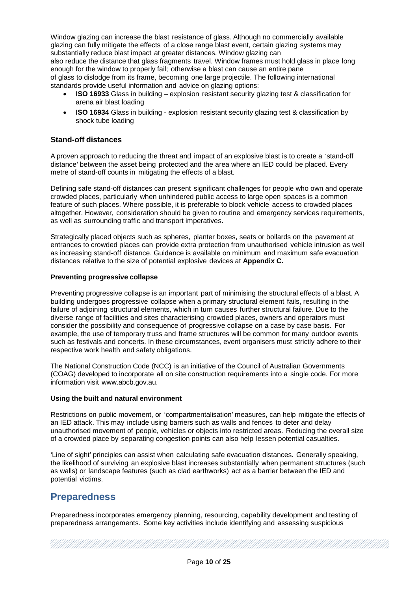Window glazing can increase the blast resistance of glass. Although no commercially available glazing can fully mitigate the effects of a close range blast event, certain glazing systems may substantially reduce blast impact at greater distances. Window glazing can also reduce the distance that glass fragments travel. Window frames must hold glass in place long enough for the window to properly fail; otherwise a blast can cause an entire pane of glass to dislodge from its frame, becoming one large projectile. The following international standards provide useful information and advice on glazing options:

- **ISO 16933** Glass in building explosion resistant security glazing test & classification for arena air blast loading
- **ISO 16934** Glass in building explosion resistant security glazing test & classification by shock tube loading

## <span id="page-9-0"></span>**Stand-off distances**

A proven approach to reducing the threat and impact of an explosive blast is to create a 'stand-off distance' between the asset being protected and the area where an IED could be placed. Every metre of stand-off counts in mitigating the effects of a blast.

Defining safe stand-off distances can present significant challenges for people who own and operate crowded places, particularly when unhindered public access to large open spaces is a common feature of such places. Where possible, it is preferable to block vehicle access to crowded places altogether. However, consideration should be given to routine and emergency services requirements, as well as surrounding traffic and transport imperatives.

Strategically placed objects such as spheres, planter boxes, seats or bollards on the pavement at entrances to crowded places can provide extra protection from unauthorised vehicle intrusion as well as increasing stand-off distance. Guidance is available on minimum and maximum safe evacuation distances relative to the size of potential explosive devices at **Appendix C.**

#### **Preventing progressive collapse**

Preventing progressive collapse is an important part of minimising the structural effects of a blast. A building undergoes progressive collapse when a primary structural element fails, resulting in the failure of adjoining structural elements, which in turn causes further structural failure. Due to the diverse range of facilities and sites characterising crowded places, owners and operators must consider the possibility and consequence of progressive collapse on a case by case basis. For example, the use of temporary truss and frame structures will be common for many outdoor events such as festivals and concerts. In these circumstances, event organisers must strictly adhere to their respective work health and safety obligations.

The National Construction Code (NCC) is an initiative of the Council of Australian Governments (COAG) developed to incorporate all on site construction requirements into a single code. For more information visit [www.abcb.gov.au.](http://www.abcb.gov.au/)

#### **Using the built and natural environment**

Restrictions on public movement, or 'compartmentalisation' measures, can help mitigate the effects of an IED attack. This may include using barriers such as walls and fences to deter and delay unauthorised movement of people, vehicles or objects into restricted areas. Reducing the overall size of a crowded place by separating congestion points can also help lessen potential casualties.

'Line of sight' principles can assist when calculating safe evacuation distances. Generally speaking, the likelihood of surviving an explosive blast increases substantially when permanent structures (such as walls) or landscape features (such as clad earthworks) act as a barrier between the IED and potential victims.

# <span id="page-9-1"></span>**Preparedness**

Preparedness incorporates emergency planning, resourcing, capability development and testing of preparedness arrangements. Some key activities include identifying and assessing suspicious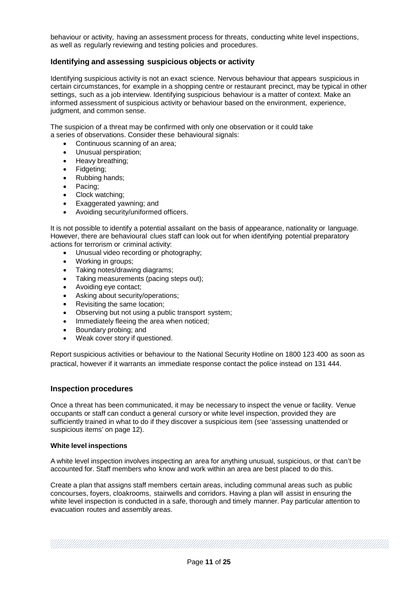behaviour or activity, having an assessment process for threats, conducting white level inspections, as well as regularly reviewing and testing policies and procedures.

## <span id="page-10-0"></span>**Identifying and assessing suspicious objects or activity**

Identifying suspicious activity is not an exact science. Nervous behaviour that appears suspicious in certain circumstances, for example in a shopping centre or restaurant precinct, may be typical in other settings, such as a job interview. Identifying suspicious behaviour is a matter of context. Make an informed assessment of suspicious activity or behaviour based on the environment, experience, judgment, and common sense.

The suspicion of a threat may be confirmed with only one observation or it could take a series of observations. Consider these behavioural signals:

- Continuous scanning of an area;
- Unusual perspiration;
- Heavy breathing;
- Fidgeting;
- Rubbing hands;
- Pacing;
- Clock watching;
- Exaggerated yawning; and
- Avoiding security/uniformed officers.

It is not possible to identify a potential assailant on the basis of appearance, nationality or language. However, there are behavioural clues staff can look out for when identifying potential preparatory actions for terrorism or criminal activity:

- Unusual video recording or photography;
- Working in groups;
- Taking notes/drawing diagrams;
- Taking measurements (pacing steps out);
- Avoiding eye contact;
- Asking about security/operations;
- Revisiting the same location:
- Observing but not using a public transport system;
- Immediately fleeing the area when noticed;
- Boundary probing; and
- Weak cover story if questioned.

Report suspicious activities or behaviour to the National Security Hotline on 1800 123 400 as soon as practical, however if it warrants an immediate response contact the police instead on 131 444.

#### <span id="page-10-1"></span>**Inspection procedures**

Once a threat has been communicated, it may be necessary to inspect the venue or facility. Venue occupants or staff can conduct a general cursory or white level inspection, provided they are sufficiently trained in what to do if they discover a suspicious item (see 'assessing unattended or suspicious items' on page 12).

#### **White level inspections**

A white level inspection involves inspecting an area for anything unusual, suspicious, or that can't be accounted for. Staff members who know and work within an area are best placed to do this.

Create a plan that assigns staff members certain areas, including communal areas such as public concourses, foyers, cloakrooms, stairwells and corridors. Having a plan will assist in ensuring the white level inspection is conducted in a safe, thorough and timely manner. Pay particular attention to evacuation routes and assembly areas.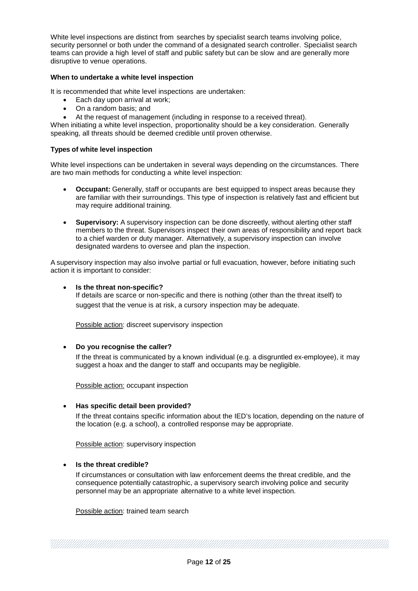White level inspections are distinct from searches by specialist search teams involving police, security personnel or both under the command of a designated search controller. Specialist search teams can provide a high level of staff and public safety but can be slow and are generally more disruptive to venue operations.

#### **When to undertake a white level inspection**

It is recommended that white level inspections are undertaken:

- Each day upon arrival at work;
- On a random basis; and
- At the request of management (including in response to a received threat).

When initiating a white level inspection, proportionality should be a key consideration. Generally speaking, all threats should be deemed credible until proven otherwise.

#### **Types of white level inspection**

White level inspections can be undertaken in several ways depending on the circumstances. There are two main methods for conducting a white level inspection:

- **Occupant:** Generally, staff or occupants are best equipped to inspect areas because they are familiar with their surroundings. This type of inspection is relatively fast and efficient but may require additional training.
- **Supervisory:** A supervisory inspection can be done discreetly, without alerting other staff members to the threat. Supervisors inspect their own areas of responsibility and report back to a chief warden or duty manager. Alternatively, a supervisory inspection can involve designated wardens to oversee and plan the inspection.

A supervisory inspection may also involve partial or full evacuation, however, before initiating such action it is important to consider:

#### • **Is the threat non-specific?**

If details are scarce or non-specific and there is nothing (other than the threat itself) to suggest that the venue is at risk, a cursory inspection may be adequate.

Possible action: discreet supervisory inspection

#### • **Do you recognise the caller?**

If the threat is communicated by a known individual (e.g. a disgruntled ex-employee), it may suggest a hoax and the danger to staff and occupants may be negligible.

Possible action: occupant inspection

#### • **Has specific detail been provided?**

If the threat contains specific information about the IED's location, depending on the nature of the location (e.g. a school), a controlled response may be appropriate.

Possible action: supervisory inspection

#### • **Is the threat credible?**

If circumstances or consultation with law enforcement deems the threat credible, and the consequence potentially catastrophic, a supervisory search involving police and security personnel may be an appropriate alternative to a white level inspection.

Possible action: trained team search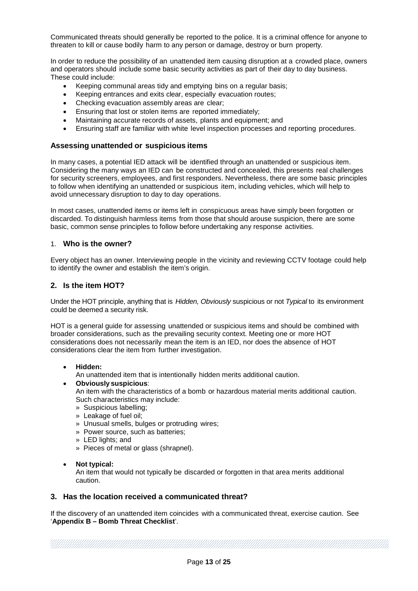Communicated threats should generally be reported to the police. It is a criminal offence for anyone to threaten to kill or cause bodily harm to any person or damage, destroy or burn property.

In order to reduce the possibility of an unattended item causing disruption at a crowded place, owners and operators should include some basic security activities as part of their day to day business. These could include:

- Keeping communal areas tidy and emptying bins on a regular basis;
- Keeping entrances and exits clear, especially evacuation routes;
- Checking evacuation assembly areas are clear:
- Ensuring that lost or stolen items are reported immediately;
- Maintaining accurate records of assets, plants and equipment; and
- Ensuring staff are familiar with white level inspection processes and reporting procedures.

#### <span id="page-12-0"></span>**Assessing unattended or suspicious items**

In many cases, a potential IED attack will be identified through an unattended or suspicious item. Considering the many ways an IED can be constructed and concealed, this presents real challenges for security screeners, employees, and first responders. Nevertheless, there are some basic principles to follow when identifying an unattended or suspicious item, including vehicles, which will help to avoid unnecessary disruption to day to day operations.

In most cases, unattended items or items left in conspicuous areas have simply been forgotten or discarded. To distinguish harmless items from those that should arouse suspicion, there are some basic, common sense principles to follow before undertaking any response activities.

#### 1. **Who is the owner?**

Every object has an owner. Interviewing people in the vicinity and reviewing CCTV footage could help to identify the owner and establish the item's origin.

## **2. Is the item HOT?**

Under the HOT principle, anything that is *Hidden, Obviously* suspicious or not *Typical* to its environment could be deemed a security risk.

HOT is a general guide for assessing unattended or suspicious items and should be combined with broader considerations, such as the prevailing security context. Meeting one or more HOT considerations does not necessarily mean the item is an IED, nor does the absence of HOT considerations clear the item from further investigation.

#### • **Hidden:**

An unattended item that is intentionally hidden merits additional caution.

## • **Obviously suspicious**:

An item with the characteristics of a bomb or hazardous material merits additional caution. Such characteristics may include:

- » Suspicious labelling;
- » Leakage of fuel oil;
- » Unusual smells, bulges or protruding wires;
- » Power source, such as batteries;
- » LED lights; and
- » Pieces of metal or glass (shrapnel).

#### • **Not typical:**

An item that would not typically be discarded or forgotten in that area merits additional caution.

## **3. Has the location received a communicated threat?**

If the discovery of an unattended item coincides with a communicated threat, exercise caution. See '**Appendix B – Bomb Threat Checklist**'.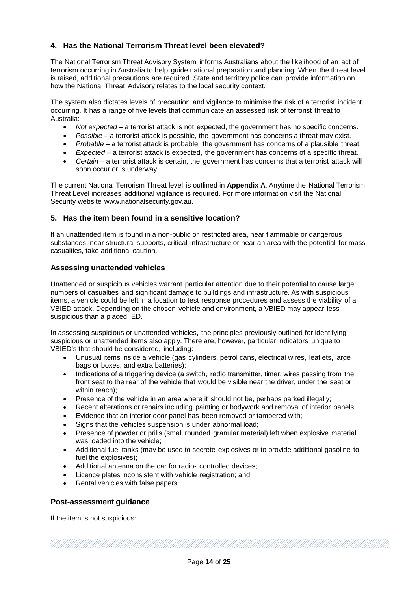# **4. Has the National Terrorism Threat level been elevated?**

The National Terrorism Threat Advisory System informs Australians about the likelihood of an act of terrorism occurring in Australia to help guide national preparation and planning. When the threat level is raised, additional precautions are required. State and territory police can provide information on how the National Threat Advisory relates to the local security context.

The system also dictates levels of precaution and vigilance to minimise the risk of a terrorist incident occurring. It has a range of five levels that communicate an assessed risk of terrorist threat to Australia:

- *Not expected*  a terrorist attack is not expected, the government has no specific concerns.
- *Possible* a terrorist attack is possible, the government has concerns a threat may exist.
- *Probable*  a terrorist attack is probable, the government has concerns of a plausible threat.
- *Expected*  a terrorist attack is expected, the government has concerns of a specific threat.
- *Certain*  a terrorist attack is certain, the government has concerns that a terrorist attack will soon occur or is underway.

The current National Terrorism Threat level is outlined in **Appendix A**. Anytime the National Terrorism Threat Level increases additional vigilance is required. For more information visit the National Security website [www.nationalsecurity.gov.au.](http://www.nationalsecurity.gov.au/)

## **5. Has the item been found in a sensitive location?**

If an unattended item is found in a non-public or restricted area, near flammable or dangerous substances, near structural supports, critical infrastructure or near an area with the potential for mass casualties, take additional caution.

## <span id="page-13-0"></span>**Assessing unattended vehicles**

Unattended or suspicious vehicles warrant particular attention due to their potential to cause large numbers of casualties and significant damage to buildings and infrastructure. As with suspicious items, a vehicle could be left in a location to test response procedures and assess the viability of a VBIED attack. Depending on the chosen vehicle and environment, a VBIED may appear less suspicious than a placed IED.

In assessing suspicious or unattended vehicles, the principles previously outlined for identifying suspicious or unattended items also apply. There are, however, particular indicators unique to VBIED's that should be considered, including:

- Unusual items inside a vehicle (gas cylinders, petrol cans, electrical wires, leaflets, large bags or boxes, and extra batteries);
- Indications of a triggering device (a switch, radio transmitter, timer, wires passing from the front seat to the rear of the vehicle that would be visible near the driver, under the seat or within reach);
- Presence of the vehicle in an area where it should not be, perhaps parked illegally;
- Recent alterations or repairs including painting or bodywork and removal of interior panels;
- Evidence that an interior door panel has been removed or tampered with;
- Signs that the vehicles suspension is under abnormal load;
- Presence of powder or prills (small rounded granular material) left when explosive material was loaded into the vehicle;
- Additional fuel tanks (may be used to secrete explosives or to provide additional gasoline to fuel the explosives);
- Additional antenna on the car for radio- controlled devices;
- Licence plates inconsistent with vehicle registration; and
- Rental vehicles with false papers.

## <span id="page-13-1"></span>**Post-assessment guidance**

If the item is not suspicious:

Page **14** of **25**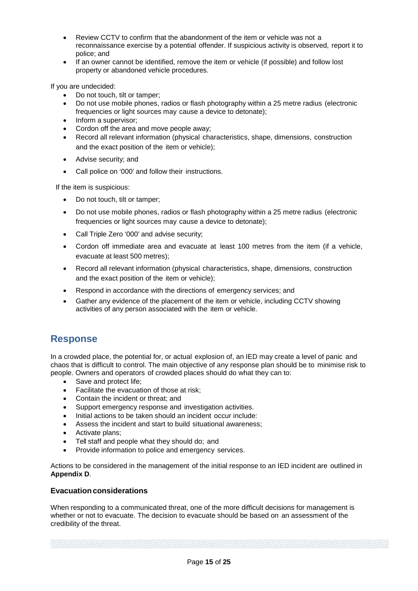- Review CCTV to confirm that the abandonment of the item or vehicle was not a reconnaissance exercise by a potential offender. If suspicious activity is observed, report it to police; and
- If an owner cannot be identified, remove the item or vehicle (if possible) and follow lost property or abandoned vehicle procedures.

If you are undecided:

- Do not touch, tilt or tamper;
- Do not use mobile phones, radios or flash photography within a 25 metre radius (electronic frequencies or light sources may cause a device to detonate);
- Inform a supervisor;
- Cordon off the area and move people away;
- Record all relevant information (physical characteristics, shape, dimensions, construction and the exact position of the item or vehicle);
- Advise security; and
- Call police on '000' and follow their instructions.

If the item is suspicious:

- Do not touch, tilt or tamper;
- Do not use mobile phones, radios or flash photography within a 25 metre radius (electronic frequencies or light sources may cause a device to detonate);
- Call Triple Zero '000' and advise security;
- Cordon off immediate area and evacuate at least 100 metres from the item (if a vehicle, evacuate at least 500 metres);
- Record all relevant information (physical characteristics, shape, dimensions, construction and the exact position of the item or vehicle);
- Respond in accordance with the directions of emergency services; and
- Gather any evidence of the placement of the item or vehicle, including CCTV showing activities of any person associated with the item or vehicle.

# <span id="page-14-0"></span>**Response**

In a crowded place, the potential for, or actual explosion of, an IED may create a level of panic and chaos that is difficult to control. The main objective of any response plan should be to minimise risk to people. Owners and operators of crowded places should do what they can to:

- Save and protect life;
- Facilitate the evacuation of those at risk;
- Contain the incident or threat; and
- Support emergency response and investigation activities.
- Initial actions to be taken should an incident occur include:
- Assess the incident and start to build situational awareness;
- Activate plans;
- Tell staff and people what they should do; and
- Provide information to police and emergency services.

Actions to be considered in the management of the initial response to an IED incident are outlined in **Appendix D**.

# <span id="page-14-1"></span>**Evacuationconsiderations**

When responding to a communicated threat, one of the more difficult decisions for management is whether or not to evacuate. The decision to evacuate should be based on an assessment of the credibility of the threat.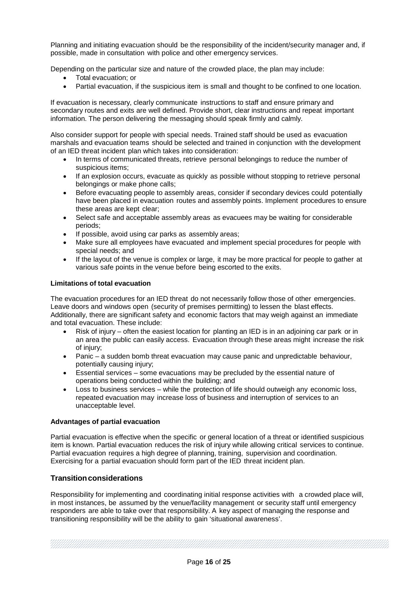Planning and initiating evacuation should be the responsibility of the incident/security manager and, if possible, made in consultation with police and other emergency services.

Depending on the particular size and nature of the crowded place, the plan may include:

- Total evacuation; or
- Partial evacuation, if the suspicious item is small and thought to be confined to one location.

If evacuation is necessary, clearly communicate instructions to staff and ensure primary and secondary routes and exits are well defined. Provide short, clear instructions and repeat important information. The person delivering the messaging should speak firmly and calmly.

Also consider support for people with special needs. Trained staff should be used as evacuation marshals and evacuation teams should be selected and trained in conjunction with the development of an IED threat incident plan which takes into consideration:

- In terms of communicated threats, retrieve personal belongings to reduce the number of suspicious items;
- If an explosion occurs, evacuate as quickly as possible without stopping to retrieve personal belongings or make phone calls;
- Before evacuating people to assembly areas, consider if secondary devices could potentially have been placed in evacuation routes and assembly points. Implement procedures to ensure these areas are kept clear;
- Select safe and acceptable assembly areas as evacuees may be waiting for considerable periods;
- If possible, avoid using car parks as assembly areas;
- Make sure all employees have evacuated and implement special procedures for people with special needs; and
- If the layout of the venue is complex or large, it may be more practical for people to gather at various safe points in the venue before being escorted to the exits.

#### **Limitations of total evacuation**

The evacuation procedures for an IED threat do not necessarily follow those of other emergencies. Leave doors and windows open (security of premises permitting) to lessen the blast effects. Additionally, there are significant safety and economic factors that may weigh against an immediate and total evacuation. These include:

- Risk of injury often the easiest location for planting an IED is in an adjoining car park or in an area the public can easily access. Evacuation through these areas might increase the risk of injury;
- Panic a sudden bomb threat evacuation may cause panic and unpredictable behaviour, potentially causing injury;
- Essential services some evacuations may be precluded by the essential nature of operations being conducted within the building; and
- Loss to business services while the protection of life should outweigh any economic loss, repeated evacuation may increase loss of business and interruption of services to an unacceptable level.

## **Advantages of partial evacuation**

Partial evacuation is effective when the specific or general location of a threat or identified suspicious item is known. Partial evacuation reduces the risk of injury while allowing critical services to continue. Partial evacuation requires a high degree of planning, training, supervision and coordination. Exercising for a partial evacuation should form part of the IED threat incident plan.

## <span id="page-15-0"></span>**Transitionconsiderations**

Responsibility for implementing and coordinating initial response activities with a crowded place will, in most instances, be assumed by the venue/facility management or security staff until emergency responders are able to take over that responsibility. A key aspect of managing the response and transitioning responsibility will be the ability to gain 'situational awareness'.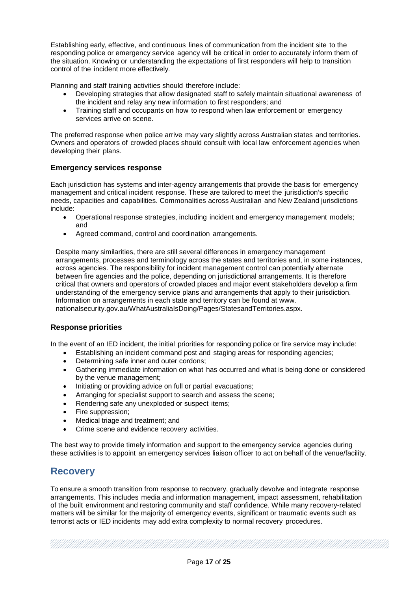Establishing early, effective, and continuous lines of communication from the incident site to the responding police or emergency service agency will be critical in order to accurately inform them of the situation. Knowing or understanding the expectations of first responders will help to transition control of the incident more effectively.

Planning and staff training activities should therefore include:

- Developing strategies that allow designated staff to safely maintain situational awareness of the incident and relay any new information to first responders; and
- Training staff and occupants on how to respond when law enforcement or emergency services arrive on scene.

The preferred response when police arrive may vary slightly across Australian states and territories. Owners and operators of crowded places should consult with local law enforcement agencies when developing their plans.

# <span id="page-16-0"></span>**Emergency services response**

Each jurisdiction has systems and inter-agency arrangements that provide the basis for emergency management and critical incident response. These are tailored to meet the jurisdiction's specific needs, capacities and capabilities. Commonalities across Australian and New Zealand jurisdictions include:

- Operational response strategies, including incident and emergency management models; and
- Agreed command, control and coordination arrangements.

Despite many similarities, there are still several differences in emergency management arrangements, processes and terminology across the states and territories and, in some instances, across agencies. The responsibility for incident management control can potentially alternate between fire agencies and the police, depending on jurisdictional arrangements. It is therefore critical that owners and operators of crowded places and major event stakeholders develop a firm understanding of the emergency service plans and arrangements that apply to their jurisdiction. Information on arrangements in each state and territory can be found at [www.](http://www.nationalsecurity.gov.au/WhatAustraliaIsDoing/Pages/StatesandTerritories.aspx) [nationalsecurity.gov.au/WhatAustraliaIsDoing/Pages/StatesandTerritories.aspx.](http://www.nationalsecurity.gov.au/WhatAustraliaIsDoing/Pages/StatesandTerritories.aspx)

# <span id="page-16-1"></span>**Response priorities**

In the event of an IED incident, the initial priorities for responding police or fire service may include:

- Establishing an incident command post and staging areas for responding agencies;
- Determining safe inner and outer cordons;
- Gathering immediate information on what has occurred and what is being done or considered by the venue management;
- Initiating or providing advice on full or partial evacuations;
- Arranging for specialist support to search and assess the scene;
- Rendering safe any unexploded or suspect items;
- Fire suppression:
- Medical triage and treatment; and
- Crime scene and evidence recovery activities.

The best way to provide timely information and support to the emergency service agencies during these activities is to appoint an emergency services liaison officer to act on behalf of the venue/facility.

# <span id="page-16-2"></span>**Recovery**

To ensure a smooth transition from response to recovery, gradually devolve and integrate response arrangements. This includes media and information management, impact assessment, rehabilitation of the built environment and restoring community and staff confidence. While many recovery-related matters will be similar for the majority of emergency events, significant or traumatic events such as terrorist acts or IED incidents may add extra complexity to normal recovery procedures.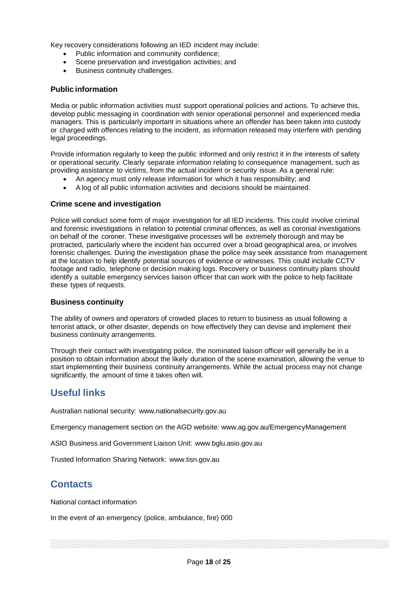Key recovery considerations following an IED incident may include:

- Public information and community confidence;
- Scene preservation and investigation activities; and
- Business continuity challenges.

## <span id="page-17-0"></span>**Public information**

Media or public information activities must support operational policies and actions. To achieve this, develop public messaging in coordination with senior operational personnel and experienced media managers. This is particularly important in situations where an offender has been taken into custody or charged with offences relating to the incident, as information released may interfere with pending legal proceedings.

Provide information regularly to keep the public informed and only restrict it in the interests of safety or operational security. Clearly separate information relating to consequence management, such as providing assistance to victims, from the actual incident or security issue. As a general rule:

- An agency must only release information for which it has responsibility; and
- A log of all public information activities and decisions should be maintained.

## <span id="page-17-1"></span>**Crime scene and investigation**

Police will conduct some form of major investigation for all IED incidents. This could involve criminal and forensic investigations in relation to potential criminal offences, as well as coronial investigations on behalf of the coroner. These investigative processes will be extremely thorough and may be protracted, particularly where the incident has occurred over a broad geographical area, or involves forensic challenges. During the investigation phase the police may seek assistance from management at the location to help identify potential sources of evidence or witnesses. This could include CCTV footage and radio, telephone or decision making logs. Recovery or business continuity plans should identify a suitable emergency services liaison officer that can work with the police to help facilitate these types of requests.

#### <span id="page-17-2"></span>**Business continuity**

The ability of owners and operators of crowded places to return to business as usual following a terrorist attack, or other disaster, depends on how effectively they can devise and implement their business continuity arrangements.

Through their contact with investigating police, the nominated liaison officer will generally be in a position to obtain information about the likely duration of the scene examination, allowing the venue to start implementing their business continuity arrangements. While the actual process may not change significantly, the amount of time it takes often will.

# <span id="page-17-3"></span>**Useful links**

Australian national security: [www.nationalsecurity.gov.au](http://www.nationalsecurity.gov.au/)

Emergency management section on the AGD website: [www.ag.gov.au/EmergencyManagement](https://www.ag.gov.au/EmergencyManagement)

ASIO Business and Government Liaison Unit: [www.bglu.asio.gov.au](http://www.bglu.asio.gov.au/)

Trusted Information Sharing Network: [www.tisn.gov.au](http://www.tisn.gov.au/)

# <span id="page-17-4"></span>**Contacts**

National contact information

In the event of an emergency (police, ambulance, fire) 000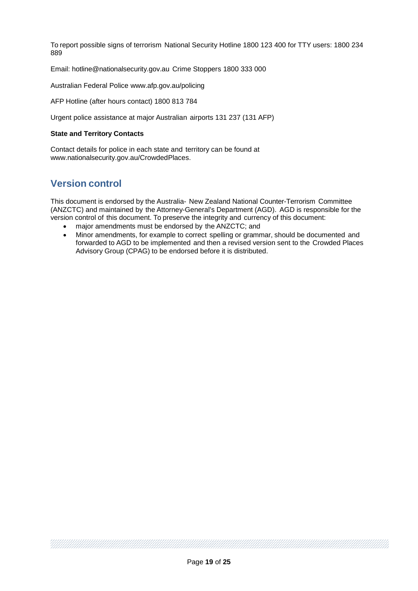To report possible signs of terrorism National Security Hotline 1800 123 400 for TTY users: 1800 234 889

Email: hotline@nationalsecurity.gov.au Crime Stoppers 1800 333 000

Australian Federal Police [www.afp.gov.au/policing](http://www.afp.gov.au/policing)

AFP Hotline (after hours contact) 1800 813 784

Urgent police assistance at major Australian airports 131 237 (131 AFP)

#### **State and Territory Contacts**

Contact details for police in each state and territory can be found at [www.nationalsecurity.gov.au/CrowdedPlaces.](http://www.nationalsecurity.gov.au/CrowdedPlaces)

# <span id="page-18-0"></span>**Version control**

This document is endorsed by the Australia- New Zealand National Counter-Terrorism Committee (ANZCTC) and maintained by the Attorney-General's Department (AGD). AGD is responsible for the version control of this document. To preserve the integrity and currency of this document:

- major amendments must be endorsed by the ANZCTC; and
- Minor amendments, for example to correct spelling or grammar, should be documented and forwarded to AGD to be implemented and then a revised version sent to the Crowded Places Advisory Group (CPAG) to be endorsed before it is distributed.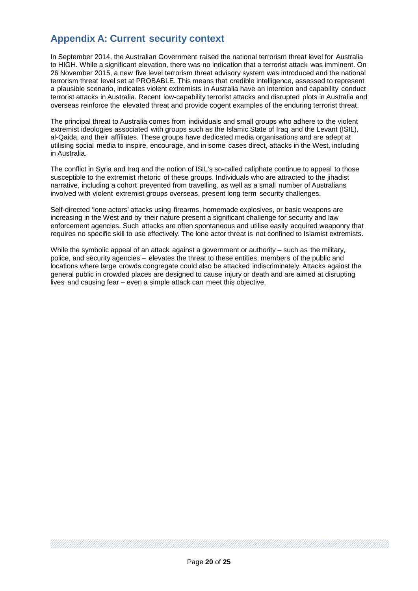# <span id="page-19-0"></span>**Appendix A: Current security context**

In September 2014, the Australian Government raised the national terrorism threat level for Australia to HIGH. While a significant elevation, there was no indication that a terrorist attack was imminent. On 26 November 2015, a new five level terrorism threat advisory system was introduced and the national terrorism threat level set at PROBABLE. This means that credible intelligence, assessed to represent a plausible scenario, indicates violent extremists in Australia have an intention and capability conduct terrorist attacks in Australia. Recent low-capability terrorist attacks and disrupted plots in Australia and overseas reinforce the elevated threat and provide cogent examples of the enduring terrorist threat.

The principal threat to Australia comes from individuals and small groups who adhere to the violent extremist ideologies associated with groups such as the Islamic State of Iraq and the Levant (ISIL), al-Qaida, and their affiliates. These groups have dedicated media organisations and are adept at utilising social media to inspire, encourage, and in some cases direct, attacks in the West, including in Australia.

The conflict in Syria and Iraq and the notion of ISIL's so-called caliphate continue to appeal to those susceptible to the extremist rhetoric of these groups. Individuals who are attracted to the jihadist narrative, including a cohort prevented from travelling, as well as a small number of Australians involved with violent extremist groups overseas, present long term security challenges.

Self-directed 'lone actors' attacks using firearms, homemade explosives, or basic weapons are increasing in the West and by their nature present a significant challenge for security and law enforcement agencies. Such attacks are often spontaneous and utilise easily acquired weaponry that requires no specific skill to use effectively. The lone actor threat is not confined to Islamist extremists.

While the symbolic appeal of an attack against a government or authority – such as the military, police, and security agencies – elevates the threat to these entities, members of the public and locations where large crowds congregate could also be attacked indiscriminately. Attacks against the general public in crowded places are designed to cause injury or death and are aimed at disrupting lives and causing fear – even a simple attack can meet this objective.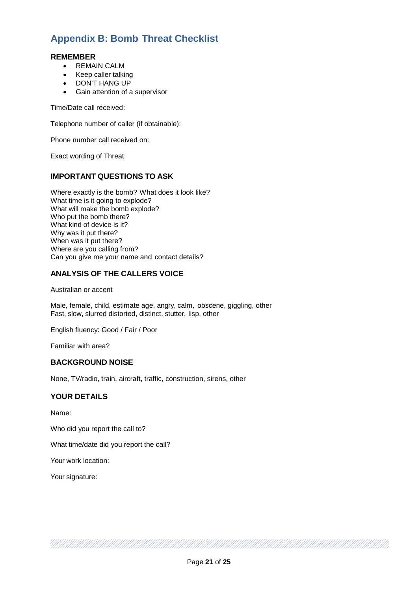# <span id="page-20-0"></span>**Appendix B: Bomb Threat Checklist**

# <span id="page-20-1"></span>**REMEMBER**

- REMAIN CALM
- Keep caller talking
- DON'T HANG UP
- Gain attention of a supervisor

Time/Date call received:

Telephone number of caller (if obtainable):

Phone number call received on:

Exact wording of Threat:

# <span id="page-20-2"></span>**IMPORTANT QUESTIONS TO ASK**

Where exactly is the bomb? What does it look like? What time is it going to explode? What will make the bomb explode? Who put the bomb there? What kind of device is it? Why was it put there? When was it put there? Where are you calling from? Can you give me your name and contact details?

# <span id="page-20-3"></span>**ANALYSIS OF THE CALLERS VOICE**

Australian or accent

Male, female, child, estimate age, angry, calm, obscene, giggling, other Fast, slow, slurred distorted, distinct, stutter, lisp, other

English fluency: Good / Fair / Poor

Familiar with area?

## <span id="page-20-4"></span>**BACKGROUND NOISE**

None, TV/radio, train, aircraft, traffic, construction, sirens, other

## <span id="page-20-5"></span>**YOUR DETAILS**

Name:

Who did you report the call to?

What time/date did you report the call?

Your work location:

Your signature: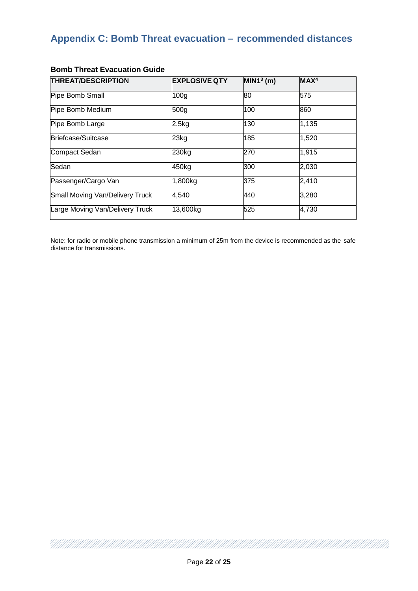# <span id="page-21-0"></span>**Appendix C: Bomb Threat evacuation – recommended distances**

| <b>THREAT/DESCRIPTION</b>       | <b>EXPLOSIVE QTY</b> | $MIN13$ (m) | MAX <sup>4</sup> |
|---------------------------------|----------------------|-------------|------------------|
| Pipe Bomb Small                 | 100 <sub>q</sub>     | 80          | 575              |
| Pipe Bomb Medium                | 500g                 | 100         | 860              |
| Pipe Bomb Large                 | $2.5$ kg             | 130         | 1,135            |
| Briefcase/Suitcase              | 23kg                 | 185         | 1,520            |
| Compact Sedan                   | 230kg                | 270         | 1,915            |
| Sedan                           | 450kg                | 300         | 2,030            |
| Passenger/Cargo Van             | 1,800kg              | 375         | 2,410            |
| Small Moving Van/Delivery Truck | 4,540                | 440         | 3,280            |
| Large Moving Van/Delivery Truck | 13,600kg             | 525         | 4,730            |

# <span id="page-21-1"></span>**Bomb Threat Evacuation Guide**

MMMMM

Note: for radio or mobile phone transmission a minimum of 25m from the device is recommended as the safe distance for transmissions.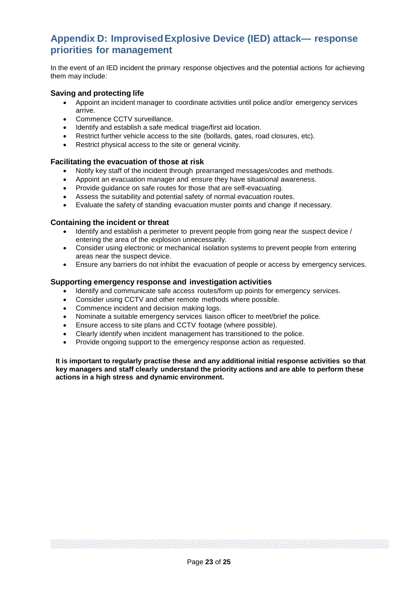# <span id="page-22-0"></span>**Appendix D: ImprovisedExplosive Device (IED) attack— response priorities for management**

In the event of an IED incident the primary response objectives and the potential actions for achieving them may include:

# <span id="page-22-1"></span>**Saving and protecting life**

- Appoint an incident manager to coordinate activities until police and/or emergency services arrive.
- Commence CCTV surveillance.
- Identify and establish a safe medical triage/first aid location.
- Restrict further vehicle access to the site (bollards, gates, road closures, etc).
- Restrict physical access to the site or general vicinity.

## <span id="page-22-2"></span>**Facilitating the evacuation of those at risk**

- Notify key staff of the incident through prearranged messages/codes and methods.
- Appoint an evacuation manager and ensure they have situational awareness.
- Provide guidance on safe routes for those that are self-evacuating.
- Assess the suitability and potential safety of normal evacuation routes.
- Evaluate the safety of standing evacuation muster points and change if necessary.

## <span id="page-22-3"></span>**Containing the incident or threat**

- Identify and establish a perimeter to prevent people from going near the suspect device / entering the area of the explosion unnecessarily.
- Consider using electronic or mechanical isolation systems to prevent people from entering areas near the suspect device.
- Ensure any barriers do not inhibit the evacuation of people or access by emergency services.

# <span id="page-22-4"></span>**Supporting emergency response and investigation activities**

- Identify and communicate safe access routes/form up points for emergency services.
- Consider using CCTV and other remote methods where possible.
- Commence incident and decision making logs.
- Nominate a suitable emergency services liaison officer to meet/brief the police.
- Ensure access to site plans and CCTV footage (where possible).
- Clearly identify when incident management has transitioned to the police.
- Provide ongoing support to the emergency response action as requested.

**It is important to regularly practise these and any additional initial response activities so that key managers and staff clearly understand the priority actions and are able to perform these actions in a high stress and dynamic environment.**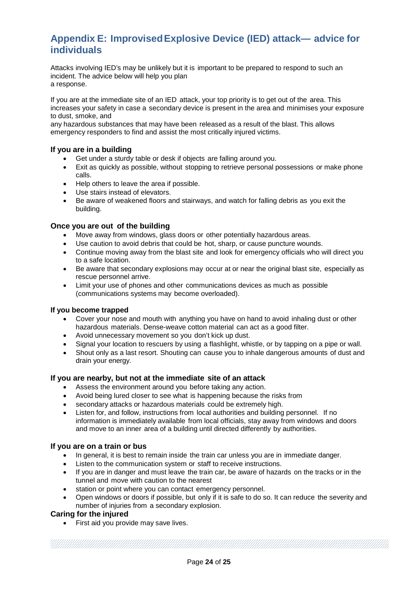# <span id="page-23-0"></span>**Appendix E: ImprovisedExplosive Device (IED) attack— advice for individuals**

Attacks involving IED's may be unlikely but it is important to be prepared to respond to such an incident. The advice below will help you plan a response.

If you are at the immediate site of an IED attack, your top priority is to get out of the area. This increases your safety in case a secondary device is present in the area and minimises your exposure to dust, smoke, and

any hazardous substances that may have been released as a result of the blast. This allows emergency responders to find and assist the most critically injured victims.

# <span id="page-23-1"></span>**If you are in a building**

- Get under a sturdy table or desk if objects are falling around you.
- Exit as quickly as possible, without stopping to retrieve personal possessions or make phone calls.
- Help others to leave the area if possible.
- Use stairs instead of elevators.
- Be aware of weakened floors and stairways, and watch for falling debris as you exit the building.

# <span id="page-23-2"></span>**Once you are out of the building**

- Move away from windows, glass doors or other potentially hazardous areas.
- Use caution to avoid debris that could be hot, sharp, or cause puncture wounds.
- Continue moving away from the blast site and look for emergency officials who will direct you to a safe location.
- Be aware that secondary explosions may occur at or near the original blast site, especially as rescue personnel arrive.
- Limit your use of phones and other communications devices as much as possible (communications systems may become overloaded).

## **If you become trapped**

- Cover your nose and mouth with anything you have on hand to avoid inhaling dust or other hazardous materials. Dense-weave cotton material can act as a good filter.
- Avoid unnecessary movement so you don't kick up dust.
- Signal your location to rescuers by using a flashlight, whistle, or by tapping on a pipe or wall.
- Shout only as a last resort. Shouting can cause you to inhale dangerous amounts of dust and drain your energy.

## <span id="page-23-3"></span>**If you are nearby, but not at the immediate site of an attack**

- Assess the environment around you before taking any action.
- Avoid being lured closer to see what is happening because the risks from
- secondary attacks or hazardous materials could be extremely high.
- Listen for, and follow, instructions from local authorities and building personnel. If no information is immediately available from local officials, stay away from windows and doors and move to an inner area of a building until directed differently by authorities.

## <span id="page-23-4"></span>**If you are on a train or bus**

- In general, it is best to remain inside the train car unless you are in immediate danger.
- Listen to the communication system or staff to receive instructions.<br>• If you are in danger and must leave the train car, be aware of hazar
- If you are in danger and must leave the train car, be aware of hazards on the tracks or in the tunnel and move with caution to the nearest
- station or point where you can contact emergency personnel.
- Open windows or doors if possible, but only if it is safe to do so. It can reduce the severity and number of injuries from a secondary explosion.

## <span id="page-23-5"></span>**Caring for the injured**

• First aid you provide may save lives.